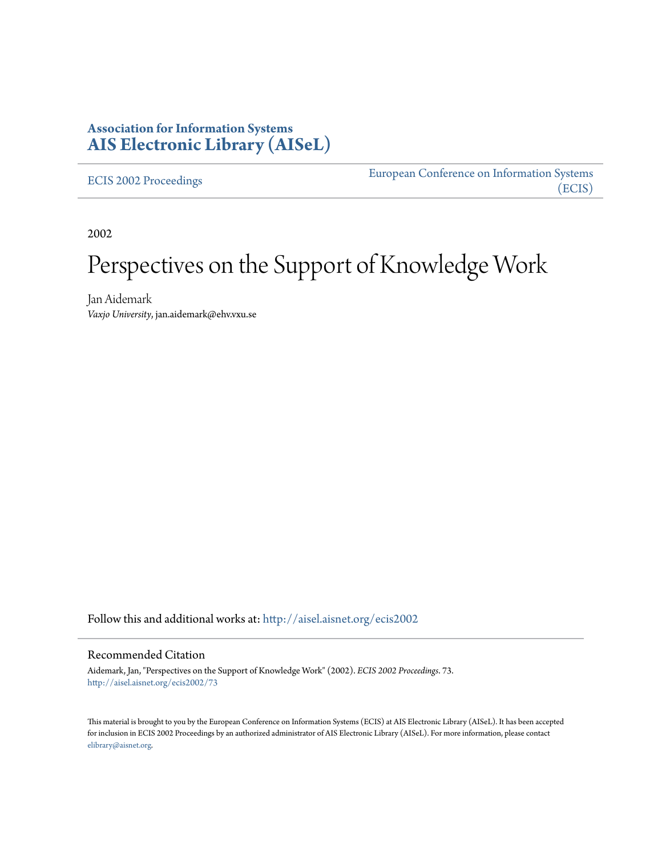# **Association for Information Systems [AIS Electronic Library \(AISeL\)](http://aisel.aisnet.org?utm_source=aisel.aisnet.org%2Fecis2002%2F73&utm_medium=PDF&utm_campaign=PDFCoverPages)**

[ECIS 2002 Proceedings](http://aisel.aisnet.org/ecis2002?utm_source=aisel.aisnet.org%2Fecis2002%2F73&utm_medium=PDF&utm_campaign=PDFCoverPages)

[European Conference on Information Systems](http://aisel.aisnet.org/ecis?utm_source=aisel.aisnet.org%2Fecis2002%2F73&utm_medium=PDF&utm_campaign=PDFCoverPages) [\(ECIS\)](http://aisel.aisnet.org/ecis?utm_source=aisel.aisnet.org%2Fecis2002%2F73&utm_medium=PDF&utm_campaign=PDFCoverPages)

2002

# Perspectives on the Support of Knowledge Work

Jan Aidemark *Vaxjo University*, jan.aidemark@ehv.vxu.se

Follow this and additional works at: [http://aisel.aisnet.org/ecis2002](http://aisel.aisnet.org/ecis2002?utm_source=aisel.aisnet.org%2Fecis2002%2F73&utm_medium=PDF&utm_campaign=PDFCoverPages)

#### Recommended Citation

Aidemark, Jan, "Perspectives on the Support of Knowledge Work" (2002). *ECIS 2002 Proceedings*. 73. [http://aisel.aisnet.org/ecis2002/73](http://aisel.aisnet.org/ecis2002/73?utm_source=aisel.aisnet.org%2Fecis2002%2F73&utm_medium=PDF&utm_campaign=PDFCoverPages)

This material is brought to you by the European Conference on Information Systems (ECIS) at AIS Electronic Library (AISeL). It has been accepted for inclusion in ECIS 2002 Proceedings by an authorized administrator of AIS Electronic Library (AISeL). For more information, please contact [elibrary@aisnet.org.](mailto:elibrary@aisnet.org%3E)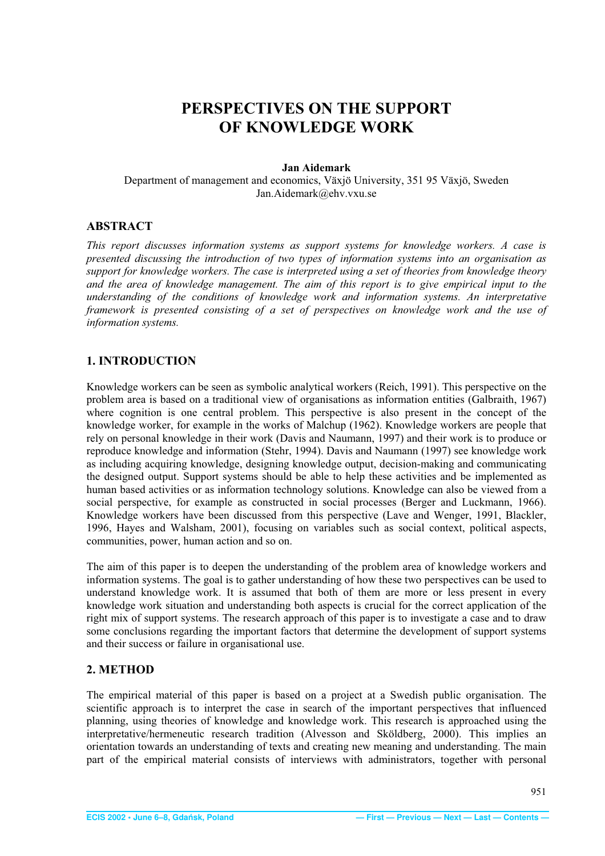# <span id="page-1-0"></span>**PERSPECTIVES ON THE SUPPORT OF KNOWLEDGE WORK**

#### **Jan Aidemark**

Department of management and economics, Växjö University, 351 95 Växjö, Sweden Jan.Aidemark@ehv.vxu.se

# **ABSTRACT**

*This report discusses information systems as support systems for knowledge workers. A case is presented discussing the introduction of two types of information systems into an organisation as support for knowledge workers. The case is interpreted using a set of theories from knowledge theory and the area of knowledge management. The aim of this report is to give empirical input to the understanding of the conditions of knowledge work and information systems. An interpretative framework is presented consisting of a set of perspectives on knowledge work and the use of information systems.* 

# **1. INTRODUCTION**

Knowledge workers can be seen as symbolic analytical workers (Reich, 1991). This perspective on the problem area is based on a traditional view of organisations as information entities (Galbraith, 1967) where cognition is one central problem. This perspective is also present in the concept of the knowledge worker, for example in the works of Malchup (1962). Knowledge workers are people that rely on personal knowledge in their work (Davis and Naumann, 1997) and their work is to produce or reproduce knowledge and information (Stehr, 1994). Davis and Naumann (1997) see knowledge work as including acquiring knowledge, designing knowledge output, decision-making and communicating the designed output. Support systems should be able to help these activities and be implemented as human based activities or as information technology solutions. Knowledge can also be viewed from a social perspective, for example as constructed in social processes (Berger and Luckmann, 1966). Knowledge workers have been discussed from this perspective (Lave and Wenger, 1991, Blackler, 1996, Hayes and Walsham, 2001), focusing on variables such as social context, political aspects, communities, power, human action and so on.

The aim of this paper is to deepen the understanding of the problem area of knowledge workers and information systems. The goal is to gather understanding of how these two perspectives can be used to understand knowledge work. It is assumed that both of them are more or less present in every knowledge work situation and understanding both aspects is crucial for the correct application of the right mix of support systems. The research approach of this paper is to investigate a case and to draw some conclusions regarding the important factors that determine the development of support systems and their success or failure in organisational use.

# **2. METHOD**

The empirical material of this paper is based on a project at a Swedish public organisation. The scientific approach is to interpret the case in search of the important perspectives that influenced planning, using theories of knowledge and knowledge work. This research is approached using the interpretative/hermeneutic research tradition (Alvesson and Sköldberg, 2000). This implies an orientation towards an understanding of texts and creating new meaning and understanding. The main part of the empirical material consists of interviews with administrators, together with personal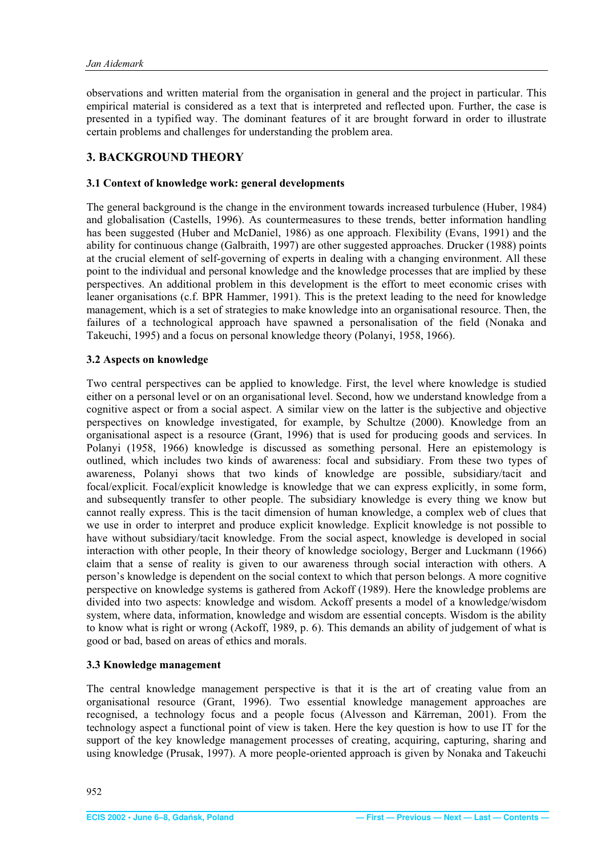<span id="page-2-0"></span>observations and written material from the organisation in general and the project in particular. This empirical material is considered as a text that is interpreted and reflected upon. Further, the case is presented in a typified way. The dominant features of it are brought forward in order to illustrate certain problems and challenges for understanding the problem area.

# **3. BACKGROUND THEORY**

#### **3.1 Context of knowledge work: general developments**

The general background is the change in the environment towards increased turbulence (Huber, 1984) and globalisation (Castells, 1996). As countermeasures to these trends, better information handling has been suggested (Huber and McDaniel, 1986) as one approach. Flexibility (Evans, 1991) and the ability for continuous change (Galbraith, 1997) are other suggested approaches. Drucker (1988) points at the crucial element of self-governing of experts in dealing with a changing environment. All these point to the individual and personal knowledge and the knowledge processes that are implied by these perspectives. An additional problem in this development is the effort to meet economic crises with leaner organisations (c.f. BPR Hammer, 1991). This is the pretext leading to the need for knowledge management, which is a set of strategies to make knowledge into an organisational resource. Then, the failures of a technological approach have spawned a personalisation of the field (Nonaka and Takeuchi, 1995) and a focus on personal knowledge theory (Polanyi, 1958, 1966).

#### **3.2 Aspects on knowledge**

Two central perspectives can be applied to knowledge. First, the level where knowledge is studied either on a personal level or on an organisational level. Second, how we understand knowledge from a cognitive aspect or from a social aspect. A similar view on the latter is the subjective and objective perspectives on knowledge investigated, for example, by Schultze (2000). Knowledge from an organisational aspect is a resource (Grant, 1996) that is used for producing goods and services. In Polanyi (1958, 1966) knowledge is discussed as something personal. Here an epistemology is outlined, which includes two kinds of awareness: focal and subsidiary. From these two types of awareness, Polanyi shows that two kinds of knowledge are possible, subsidiary/tacit and focal/explicit. Focal/explicit knowledge is knowledge that we can express explicitly, in some form, and subsequently transfer to other people. The subsidiary knowledge is every thing we know but cannot really express. This is the tacit dimension of human knowledge, a complex web of clues that we use in order to interpret and produce explicit knowledge. Explicit knowledge is not possible to have without subsidiary/tacit knowledge. From the social aspect, knowledge is developed in social interaction with other people, In their theory of knowledge sociology, Berger and Luckmann (1966) claim that a sense of reality is given to our awareness through social interaction with others. A person's knowledge is dependent on the social context to which that person belongs. A more cognitive perspective on knowledge systems is gathered from Ackoff (1989). Here the knowledge problems are divided into two aspects: knowledge and wisdom. Ackoff presents a model of a knowledge/wisdom system, where data, information, knowledge and wisdom are essential concepts. Wisdom is the ability to know what is right or wrong (Ackoff, 1989, p. 6). This demands an ability of judgement of what is good or bad, based on areas of ethics and morals.

#### **3.3 Knowledge management**

The central knowledge management perspective is that it is the art of creating value from an organisational resource (Grant, 1996). Two essential knowledge management approaches are recognised, a technology focus and a people focus (Alvesson and Kärreman, 2001). From the technology aspect a functional point of view is taken. Here the key question is how to use IT for the support of the key knowledge management processes of creating, acquiring, capturing, sharing and using knowledge (Prusak, 1997). A more people-oriented approach is given by Nonaka and Takeuchi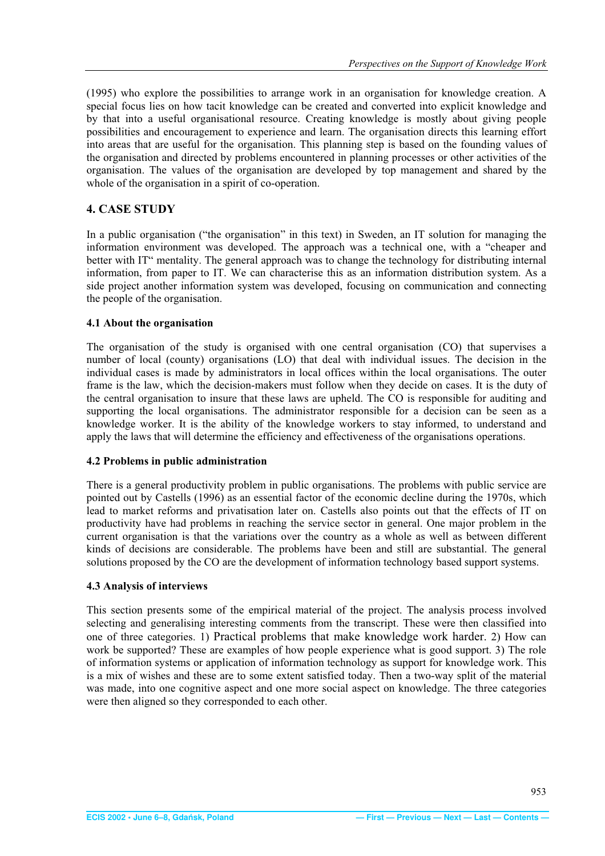<span id="page-3-0"></span>(1995) who explore the possibilities to arrange work in an organisation for knowledge creation. A special focus lies on how tacit knowledge can be created and converted into explicit knowledge and by that into a useful organisational resource. Creating knowledge is mostly about giving people possibilities and encouragement to experience and learn. The organisation directs this learning effort into areas that are useful for the organisation. This planning step is based on the founding values of the organisation and directed by problems encountered in planning processes or other activities of the organisation. The values of the organisation are developed by top management and shared by the whole of the organisation in a spirit of co-operation.

# **4. CASE STUDY**

In a public organisation ("the organisation" in this text) in Sweden, an IT solution for managing the information environment was developed. The approach was a technical one, with a "cheaper and better with IT" mentality. The general approach was to change the technology for distributing internal information, from paper to IT. We can characterise this as an information distribution system. As a side project another information system was developed, focusing on communication and connecting the people of the organisation.

#### **4.1 About the organisation**

The organisation of the study is organised with one central organisation (CO) that supervises a number of local (county) organisations (LO) that deal with individual issues. The decision in the individual cases is made by administrators in local offices within the local organisations. The outer frame is the law, which the decision-makers must follow when they decide on cases. It is the duty of the central organisation to insure that these laws are upheld. The CO is responsible for auditing and supporting the local organisations. The administrator responsible for a decision can be seen as a knowledge worker. It is the ability of the knowledge workers to stay informed, to understand and apply the laws that will determine the efficiency and effectiveness of the organisations operations.

#### **4.2 Problems in public administration**

There is a general productivity problem in public organisations. The problems with public service are pointed out by Castells (1996) as an essential factor of the economic decline during the 1970s, which lead to market reforms and privatisation later on. Castells also points out that the effects of IT on productivity have had problems in reaching the service sector in general. One major problem in the current organisation is that the variations over the country as a whole as well as between different kinds of decisions are considerable. The problems have been and still are substantial. The general solutions proposed by the CO are the development of information technology based support systems.

#### **4.3 Analysis of interviews**

This section presents some of the empirical material of the project. The analysis process involved selecting and generalising interesting comments from the transcript. These were then classified into one of three categories. 1) Practical problems that make knowledge work harder. 2) How can work be supported? These are examples of how people experience what is good support. 3) The role of information systems or application of information technology as support for knowledge work. This is a mix of wishes and these are to some extent satisfied today. Then a two-way split of the material was made, into one cognitive aspect and one more social aspect on knowledge. The three categories were then aligned so they corresponded to each other.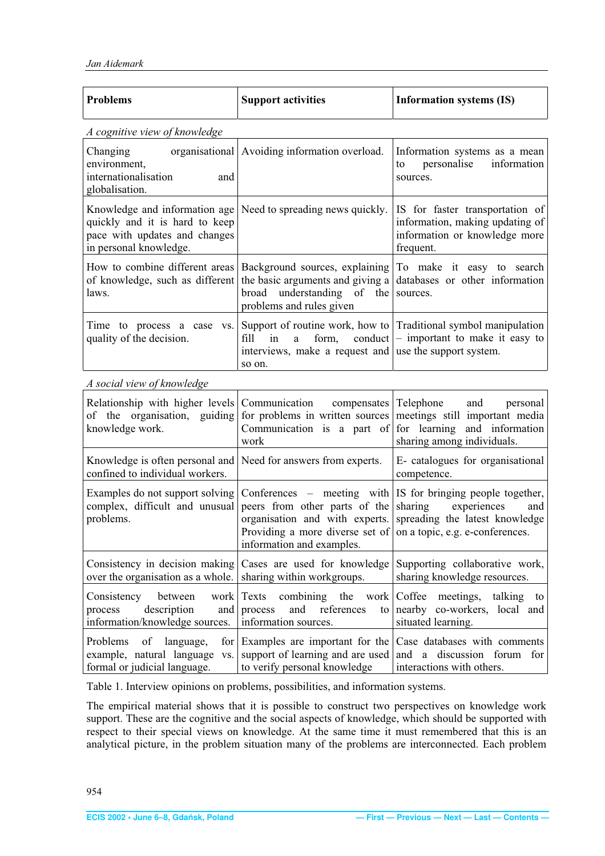<span id="page-4-0"></span>

| <b>Problems</b>                                                                                                            | <b>Support activities</b>                                                                                                                                                                                                       | <b>Information systems (IS)</b>                                                                                   |
|----------------------------------------------------------------------------------------------------------------------------|---------------------------------------------------------------------------------------------------------------------------------------------------------------------------------------------------------------------------------|-------------------------------------------------------------------------------------------------------------------|
| A cognitive view of knowledge                                                                                              |                                                                                                                                                                                                                                 |                                                                                                                   |
| organisational<br>Changing<br>environment,<br>internationalisation<br>and<br>globalisation.                                | Avoiding information overload.                                                                                                                                                                                                  | Information systems as a mean<br>personalise<br>information<br>to<br>sources.                                     |
| Knowledge and information age<br>quickly and it is hard to keep<br>pace with updates and changes<br>in personal knowledge. | Need to spreading news quickly.                                                                                                                                                                                                 | IS for faster transportation of<br>information, making updating of<br>information or knowledge more<br>frequent.  |
| laws.                                                                                                                      | How to combine different areas   Background sources, explaining   To make it easy to search<br>of knowledge, such as different the basic arguments and giving a<br>broad understanding<br>of<br>the<br>problems and rules given | databases or other information<br>sources.                                                                        |
| Time to process a case vs.<br>quality of the decision.                                                                     | fill<br>in<br>form,<br>a<br>interviews, make a request and use the support system.<br>so on.                                                                                                                                    | Support of routine work, how to Traditional symbol manipulation<br>conduct $\vert$ – important to make it easy to |
| A social view of knowledge                                                                                                 |                                                                                                                                                                                                                                 |                                                                                                                   |
| Relationship with higher levels<br>of the organisation, guiding<br>knowledge work.                                         | Communication<br>compensates   Telephone<br>for problems in written sources<br>Communication is a part of<br>work                                                                                                               | and<br>personal<br>meetings still important media<br>for learning and information<br>sharing among individuals.   |
| Knowledge is often personal and<br>confined to individual workers.                                                         | Need for answers from experts.                                                                                                                                                                                                  | E- catalogues for organisational<br>competence.                                                                   |
| Examples do not support solving<br>complex, difficult and unusual<br>problems.                                             | Conferences – meeting with $ $ IS for bringing people together,<br>peers from other parts of the<br>Providing a more diverse set of $ $ on a topic, e.g. e-conferences.<br>information and examples.                            | sharing<br>experiences<br>and<br>organisation and with experts. spreading the latest knowledge                    |
| Consistency in decision making<br>over the organisation as a whole.                                                        | Cases are used for knowledge<br>sharing within workgroups.                                                                                                                                                                      | Supporting collaborative work,<br>sharing knowledge resources.                                                    |
| between<br>Consistency<br>work<br>description<br>process<br>and  <br>information/knowledge sources.                        | combining the<br>Texts<br>work<br>and<br>references<br>process<br>to<br>information sources.                                                                                                                                    | Coffee<br>meetings,<br>talking<br>to<br>nearby co-workers, local and<br>situated learning.                        |
| Problems<br>of<br>language,<br>for <sub>l</sub><br>example, natural language<br>VS.<br>formal or judicial language.        | Examples are important for the<br>support of learning and are used<br>to verify personal knowledge                                                                                                                              | Case databases with comments<br>a discussion forum<br>and<br>for<br>interactions with others.                     |

Table 1. Interview opinions on problems, possibilities, and information systems.

The empirical material shows that it is possible to construct two perspectives on knowledge work support. These are the cognitive and the social aspects of knowledge, which should be supported with respect to their special views on knowledge. At the same time it must remembered that this is an analytical picture, in the problem situation many of the problems are interconnected. Each problem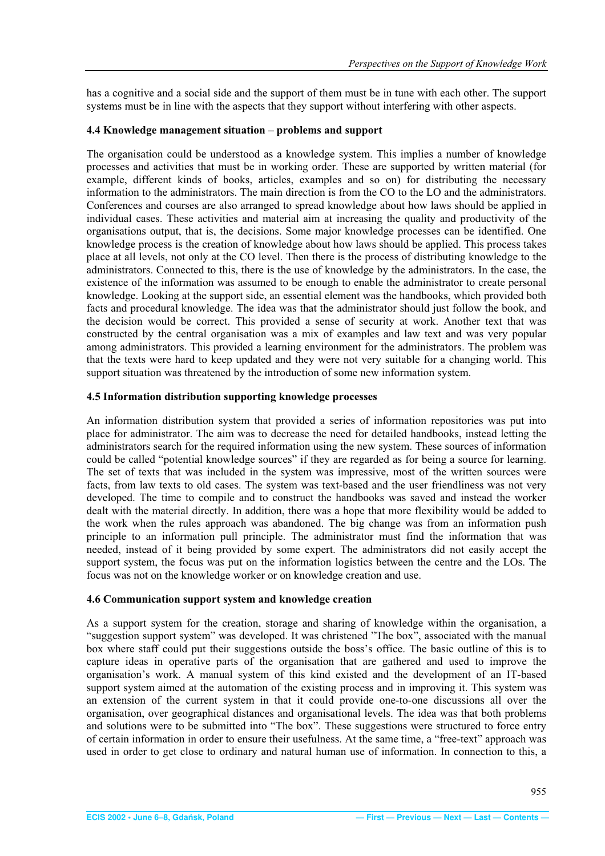<span id="page-5-0"></span>has a cognitive and a social side and the support of them must be in tune with each other. The support systems must be in line with the aspects that they support without interfering with other aspects.

## **4.4 Knowledge management situation – problems and support**

The organisation could be understood as a knowledge system. This implies a number of knowledge processes and activities that must be in working order. These are supported by written material (for example, different kinds of books, articles, examples and so on) for distributing the necessary information to the administrators. The main direction is from the CO to the LO and the administrators. Conferences and courses are also arranged to spread knowledge about how laws should be applied in individual cases. These activities and material aim at increasing the quality and productivity of the organisations output, that is, the decisions. Some major knowledge processes can be identified. One knowledge process is the creation of knowledge about how laws should be applied. This process takes place at all levels, not only at the CO level. Then there is the process of distributing knowledge to the administrators. Connected to this, there is the use of knowledge by the administrators. In the case, the existence of the information was assumed to be enough to enable the administrator to create personal knowledge. Looking at the support side, an essential element was the handbooks, which provided both facts and procedural knowledge. The idea was that the administrator should just follow the book, and the decision would be correct. This provided a sense of security at work. Another text that was constructed by the central organisation was a mix of examples and law text and was very popular among administrators. This provided a learning environment for the administrators. The problem was that the texts were hard to keep updated and they were not very suitable for a changing world. This support situation was threatened by the introduction of some new information system.

#### **4.5 Information distribution supporting knowledge processes**

An information distribution system that provided a series of information repositories was put into place for administrator. The aim was to decrease the need for detailed handbooks, instead letting the administrators search for the required information using the new system. These sources of information could be called "potential knowledge sources" if they are regarded as for being a source for learning. The set of texts that was included in the system was impressive, most of the written sources were facts, from law texts to old cases. The system was text-based and the user friendliness was not very developed. The time to compile and to construct the handbooks was saved and instead the worker dealt with the material directly. In addition, there was a hope that more flexibility would be added to the work when the rules approach was abandoned. The big change was from an information push principle to an information pull principle. The administrator must find the information that was needed, instead of it being provided by some expert. The administrators did not easily accept the support system, the focus was put on the information logistics between the centre and the LOs. The focus was not on the knowledge worker or on knowledge creation and use.

#### **4.6 Communication support system and knowledge creation**

As a support system for the creation, storage and sharing of knowledge within the organisation, a "suggestion support system" was developed. It was christened "The box", associated with the manual box where staff could put their suggestions outside the boss's office. The basic outline of this is to capture ideas in operative parts of the organisation that are gathered and used to improve the organisation's work. A manual system of this kind existed and the development of an IT-based support system aimed at the automation of the existing process and in improving it. This system was an extension of the current system in that it could provide one-to-one discussions all over the organisation, over geographical distances and organisational levels. The idea was that both problems and solutions were to be submitted into "The box". These suggestions were structured to force entry of certain information in order to ensure their usefulness. At the same time, a "free-text" approach was used in order to get close to ordinary and natural human use of information. In connection to this, a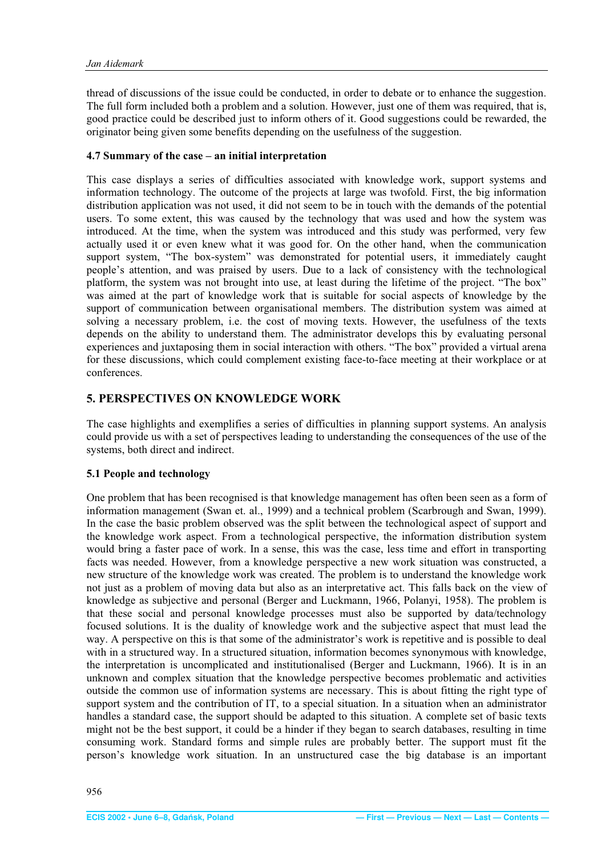<span id="page-6-0"></span>thread of discussions of the issue could be conducted, in order to debate or to enhance the suggestion. The full form included both a problem and a solution. However, just one of them was required, that is, good practice could be described just to inform others of it. Good suggestions could be rewarded, the originator being given some benefits depending on the usefulness of the suggestion.

#### **4.7 Summary of the case – an initial interpretation**

This case displays a series of difficulties associated with knowledge work, support systems and information technology. The outcome of the projects at large was twofold. First, the big information distribution application was not used, it did not seem to be in touch with the demands of the potential users. To some extent, this was caused by the technology that was used and how the system was introduced. At the time, when the system was introduced and this study was performed, very few actually used it or even knew what it was good for. On the other hand, when the communication support system, "The box-system" was demonstrated for potential users, it immediately caught people's attention, and was praised by users. Due to a lack of consistency with the technological platform, the system was not brought into use, at least during the lifetime of the project. "The box" was aimed at the part of knowledge work that is suitable for social aspects of knowledge by the support of communication between organisational members. The distribution system was aimed at solving a necessary problem, i.e. the cost of moving texts. However, the usefulness of the texts depends on the ability to understand them. The administrator develops this by evaluating personal experiences and juxtaposing them in social interaction with others. "The box" provided a virtual arena for these discussions, which could complement existing face-to-face meeting at their workplace or at conferences.

# **5. PERSPECTIVES ON KNOWLEDGE WORK**

The case highlights and exemplifies a series of difficulties in planning support systems. An analysis could provide us with a set of perspectives leading to understanding the consequences of the use of the systems, both direct and indirect.

#### **5.1 People and technology**

One problem that has been recognised is that knowledge management has often been seen as a form of information management (Swan et. al., 1999) and a technical problem (Scarbrough and Swan, 1999). In the case the basic problem observed was the split between the technological aspect of support and the knowledge work aspect. From a technological perspective, the information distribution system would bring a faster pace of work. In a sense, this was the case, less time and effort in transporting facts was needed. However, from a knowledge perspective a new work situation was constructed, a new structure of the knowledge work was created. The problem is to understand the knowledge work not just as a problem of moving data but also as an interpretative act. This falls back on the view of knowledge as subjective and personal (Berger and Luckmann, 1966, Polanyi, 1958). The problem is that these social and personal knowledge processes must also be supported by data/technology focused solutions. It is the duality of knowledge work and the subjective aspect that must lead the way. A perspective on this is that some of the administrator's work is repetitive and is possible to deal with in a structured way. In a structured situation, information becomes synonymous with knowledge, the interpretation is uncomplicated and institutionalised (Berger and Luckmann, 1966). It is in an unknown and complex situation that the knowledge perspective becomes problematic and activities outside the common use of information systems are necessary. This is about fitting the right type of support system and the contribution of IT, to a special situation. In a situation when an administrator handles a standard case, the support should be adapted to this situation. A complete set of basic texts might not be the best support, it could be a hinder if they began to search databases, resulting in time consuming work. Standard forms and simple rules are probably better. The support must fit the person's knowledge work situation. In an unstructured case the big database is an important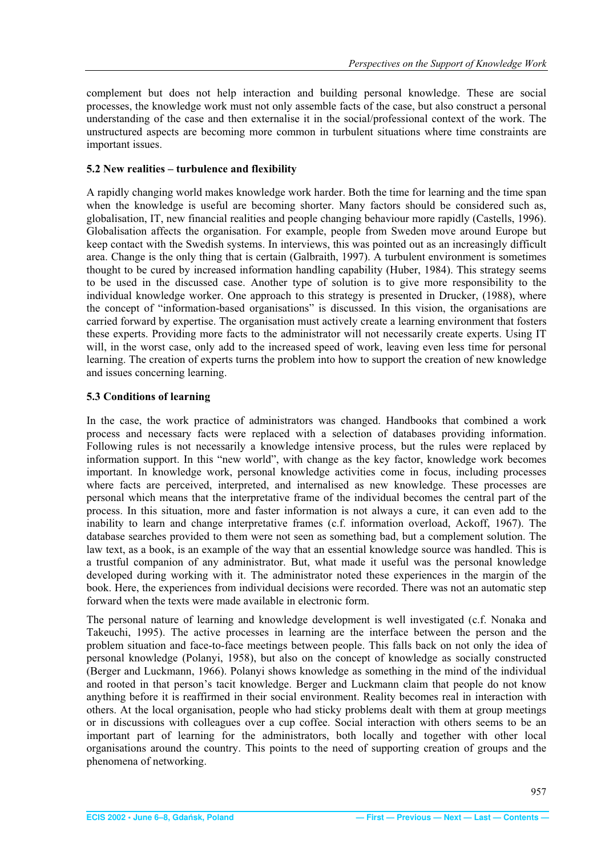<span id="page-7-0"></span>complement but does not help interaction and building personal knowledge. These are social processes, the knowledge work must not only assemble facts of the case, but also construct a personal understanding of the case and then externalise it in the social/professional context of the work. The unstructured aspects are becoming more common in turbulent situations where time constraints are important issues.

## **5.2 New realities – turbulence and flexibility**

A rapidly changing world makes knowledge work harder. Both the time for learning and the time span when the knowledge is useful are becoming shorter. Many factors should be considered such as, globalisation, IT, new financial realities and people changing behaviour more rapidly (Castells, 1996). Globalisation affects the organisation. For example, people from Sweden move around Europe but keep contact with the Swedish systems. In interviews, this was pointed out as an increasingly difficult area. Change is the only thing that is certain (Galbraith, 1997). A turbulent environment is sometimes thought to be cured by increased information handling capability (Huber, 1984). This strategy seems to be used in the discussed case. Another type of solution is to give more responsibility to the individual knowledge worker. One approach to this strategy is presented in Drucker, (1988), where the concept of "information-based organisations" is discussed. In this vision, the organisations are carried forward by expertise. The organisation must actively create a learning environment that fosters these experts. Providing more facts to the administrator will not necessarily create experts. Using IT will, in the worst case, only add to the increased speed of work, leaving even less time for personal learning. The creation of experts turns the problem into how to support the creation of new knowledge and issues concerning learning.

# **5.3 Conditions of learning**

In the case, the work practice of administrators was changed. Handbooks that combined a work process and necessary facts were replaced with a selection of databases providing information. Following rules is not necessarily a knowledge intensive process, but the rules were replaced by information support. In this "new world", with change as the key factor, knowledge work becomes important. In knowledge work, personal knowledge activities come in focus, including processes where facts are perceived, interpreted, and internalised as new knowledge. These processes are personal which means that the interpretative frame of the individual becomes the central part of the process. In this situation, more and faster information is not always a cure, it can even add to the inability to learn and change interpretative frames (c.f. information overload, Ackoff, 1967). The database searches provided to them were not seen as something bad, but a complement solution. The law text, as a book, is an example of the way that an essential knowledge source was handled. This is a trustful companion of any administrator. But, what made it useful was the personal knowledge developed during working with it. The administrator noted these experiences in the margin of the book. Here, the experiences from individual decisions were recorded. There was not an automatic step forward when the texts were made available in electronic form.

The personal nature of learning and knowledge development is well investigated (c.f. Nonaka and Takeuchi, 1995). The active processes in learning are the interface between the person and the problem situation and face-to-face meetings between people. This falls back on not only the idea of personal knowledge (Polanyi, 1958), but also on the concept of knowledge as socially constructed (Berger and Luckmann, 1966). Polanyi shows knowledge as something in the mind of the individual and rooted in that person's tacit knowledge. Berger and Luckmann claim that people do not know anything before it is reaffirmed in their social environment. Reality becomes real in interaction with others. At the local organisation, people who had sticky problems dealt with them at group meetings or in discussions with colleagues over a cup coffee. Social interaction with others seems to be an important part of learning for the administrators, both locally and together with other local organisations around the country. This points to the need of supporting creation of groups and the phenomena of networking.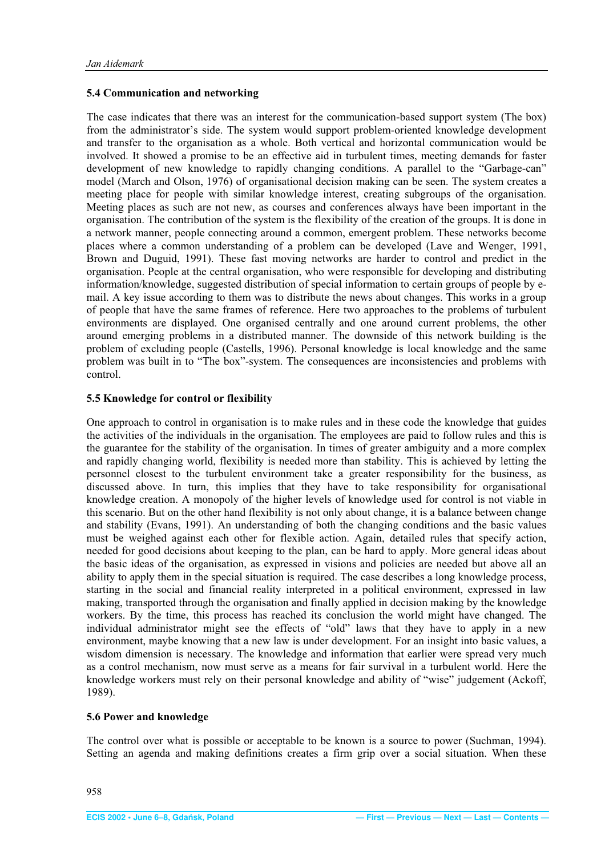#### <span id="page-8-0"></span>**5.4 Communication and networking**

The case indicates that there was an interest for the communication-based support system (The box) from the administrator's side. The system would support problem-oriented knowledge development and transfer to the organisation as a whole. Both vertical and horizontal communication would be involved. It showed a promise to be an effective aid in turbulent times, meeting demands for faster development of new knowledge to rapidly changing conditions. A parallel to the "Garbage-can" model (March and Olson, 1976) of organisational decision making can be seen. The system creates a meeting place for people with similar knowledge interest, creating subgroups of the organisation. Meeting places as such are not new, as courses and conferences always have been important in the organisation. The contribution of the system is the flexibility of the creation of the groups. It is done in a network manner, people connecting around a common, emergent problem. These networks become places where a common understanding of a problem can be developed (Lave and Wenger, 1991, Brown and Duguid, 1991). These fast moving networks are harder to control and predict in the organisation. People at the central organisation, who were responsible for developing and distributing information/knowledge, suggested distribution of special information to certain groups of people by email. A key issue according to them was to distribute the news about changes. This works in a group of people that have the same frames of reference. Here two approaches to the problems of turbulent environments are displayed. One organised centrally and one around current problems, the other around emerging problems in a distributed manner. The downside of this network building is the problem of excluding people (Castells, 1996). Personal knowledge is local knowledge and the same problem was built in to "The box"-system. The consequences are inconsistencies and problems with control.

#### **5.5 Knowledge for control or flexibility**

One approach to control in organisation is to make rules and in these code the knowledge that guides the activities of the individuals in the organisation. The employees are paid to follow rules and this is the guarantee for the stability of the organisation. In times of greater ambiguity and a more complex and rapidly changing world, flexibility is needed more than stability. This is achieved by letting the personnel closest to the turbulent environment take a greater responsibility for the business, as discussed above. In turn, this implies that they have to take responsibility for organisational knowledge creation. A monopoly of the higher levels of knowledge used for control is not viable in this scenario. But on the other hand flexibility is not only about change, it is a balance between change and stability (Evans, 1991). An understanding of both the changing conditions and the basic values must be weighed against each other for flexible action. Again, detailed rules that specify action, needed for good decisions about keeping to the plan, can be hard to apply. More general ideas about the basic ideas of the organisation, as expressed in visions and policies are needed but above all an ability to apply them in the special situation is required. The case describes a long knowledge process, starting in the social and financial reality interpreted in a political environment, expressed in law making, transported through the organisation and finally applied in decision making by the knowledge workers. By the time, this process has reached its conclusion the world might have changed. The individual administrator might see the effects of "old" laws that they have to apply in a new environment, maybe knowing that a new law is under development. For an insight into basic values, a wisdom dimension is necessary. The knowledge and information that earlier were spread very much as a control mechanism, now must serve as a means for fair survival in a turbulent world. Here the knowledge workers must rely on their personal knowledge and ability of "wise" judgement (Ackoff, 1989).

# **5.6 Power and knowledge**

The control over what is possible or acceptable to be known is a source to power (Suchman, 1994). Setting an agenda and making definitions creates a firm grip over a social situation. When these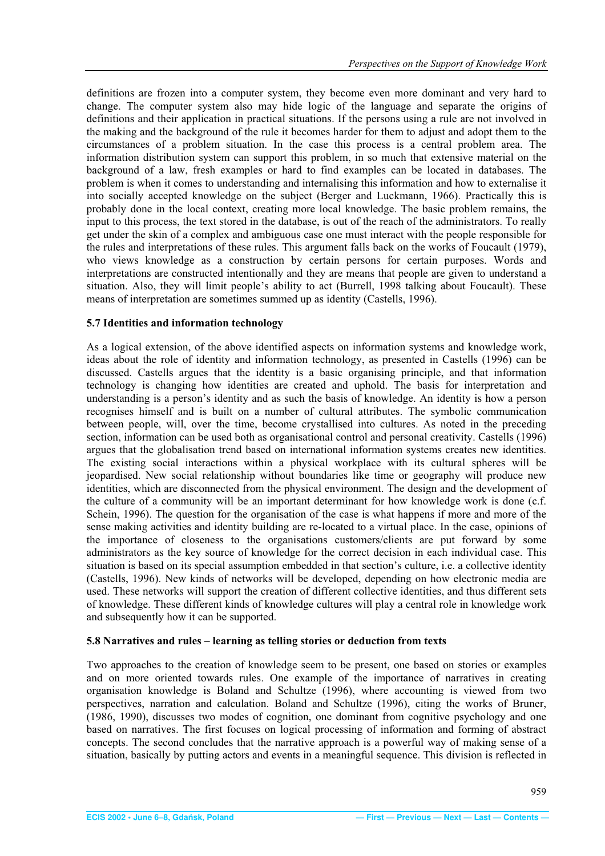<span id="page-9-0"></span>definitions are frozen into a computer system, they become even more dominant and very hard to change. The computer system also may hide logic of the language and separate the origins of definitions and their application in practical situations. If the persons using a rule are not involved in the making and the background of the rule it becomes harder for them to adjust and adopt them to the circumstances of a problem situation. In the case this process is a central problem area. The information distribution system can support this problem, in so much that extensive material on the background of a law, fresh examples or hard to find examples can be located in databases. The problem is when it comes to understanding and internalising this information and how to externalise it into socially accepted knowledge on the subject (Berger and Luckmann, 1966). Practically this is probably done in the local context, creating more local knowledge. The basic problem remains, the input to this process, the text stored in the database, is out of the reach of the administrators. To really get under the skin of a complex and ambiguous case one must interact with the people responsible for the rules and interpretations of these rules. This argument falls back on the works of Foucault (1979), who views knowledge as a construction by certain persons for certain purposes. Words and interpretations are constructed intentionally and they are means that people are given to understand a situation. Also, they will limit people's ability to act (Burrell, 1998 talking about Foucault). These means of interpretation are sometimes summed up as identity (Castells, 1996).

#### **5.7 Identities and information technology**

As a logical extension, of the above identified aspects on information systems and knowledge work, ideas about the role of identity and information technology, as presented in Castells (1996) can be discussed. Castells argues that the identity is a basic organising principle, and that information technology is changing how identities are created and uphold. The basis for interpretation and understanding is a person's identity and as such the basis of knowledge. An identity is how a person recognises himself and is built on a number of cultural attributes. The symbolic communication between people, will, over the time, become crystallised into cultures. As noted in the preceding section, information can be used both as organisational control and personal creativity. Castells (1996) argues that the globalisation trend based on international information systems creates new identities. The existing social interactions within a physical workplace with its cultural spheres will be jeopardised. New social relationship without boundaries like time or geography will produce new identities, which are disconnected from the physical environment. The design and the development of the culture of a community will be an important determinant for how knowledge work is done (c.f. Schein, 1996). The question for the organisation of the case is what happens if more and more of the sense making activities and identity building are re-located to a virtual place. In the case, opinions of the importance of closeness to the organisations customers/clients are put forward by some administrators as the key source of knowledge for the correct decision in each individual case. This situation is based on its special assumption embedded in that section's culture, i.e. a collective identity (Castells, 1996). New kinds of networks will be developed, depending on how electronic media are used. These networks will support the creation of different collective identities, and thus different sets of knowledge. These different kinds of knowledge cultures will play a central role in knowledge work and subsequently how it can be supported.

#### **5.8 Narratives and rules – learning as telling stories or deduction from texts**

Two approaches to the creation of knowledge seem to be present, one based on stories or examples and on more oriented towards rules. One example of the importance of narratives in creating organisation knowledge is Boland and Schultze (1996), where accounting is viewed from two perspectives, narration and calculation. Boland and Schultze (1996), citing the works of Bruner, (1986, 1990), discusses two modes of cognition, one dominant from cognitive psychology and one based on narratives. The first focuses on logical processing of information and forming of abstract concepts. The second concludes that the narrative approach is a powerful way of making sense of a situation, basically by putting actors and events in a meaningful sequence. This division is reflected in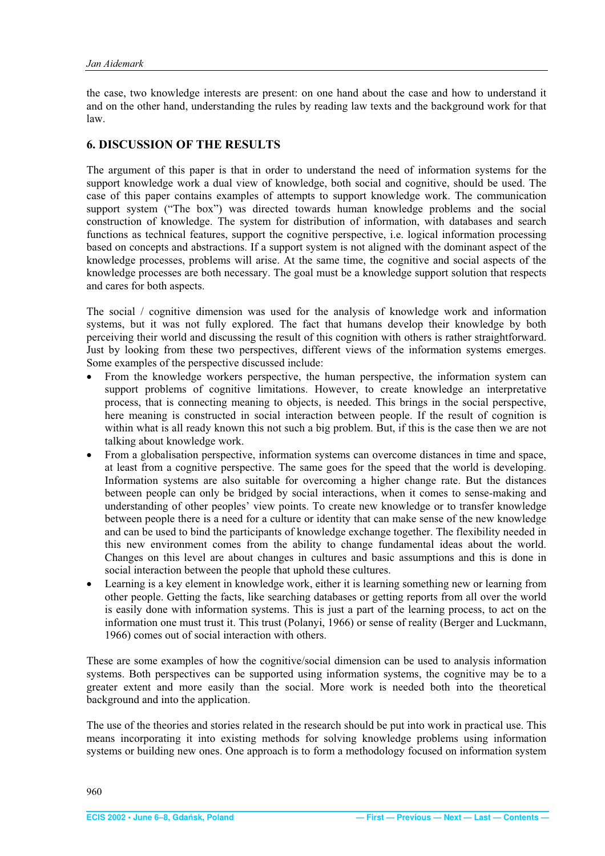<span id="page-10-0"></span>the case, two knowledge interests are present: on one hand about the case and how to understand it and on the other hand, understanding the rules by reading law texts and the background work for that law.

# **6. DISCUSSION OF THE RESULTS**

The argument of this paper is that in order to understand the need of information systems for the support knowledge work a dual view of knowledge, both social and cognitive, should be used. The case of this paper contains examples of attempts to support knowledge work. The communication support system ("The box") was directed towards human knowledge problems and the social construction of knowledge. The system for distribution of information, with databases and search functions as technical features, support the cognitive perspective, i.e. logical information processing based on concepts and abstractions. If a support system is not aligned with the dominant aspect of the knowledge processes, problems will arise. At the same time, the cognitive and social aspects of the knowledge processes are both necessary. The goal must be a knowledge support solution that respects and cares for both aspects.

The social / cognitive dimension was used for the analysis of knowledge work and information systems, but it was not fully explored. The fact that humans develop their knowledge by both perceiving their world and discussing the result of this cognition with others is rather straightforward. Just by looking from these two perspectives, different views of the information systems emerges. Some examples of the perspective discussed include:

- From the knowledge workers perspective, the human perspective, the information system can support problems of cognitive limitations. However, to create knowledge an interpretative process, that is connecting meaning to objects, is needed. This brings in the social perspective, here meaning is constructed in social interaction between people. If the result of cognition is within what is all ready known this not such a big problem. But, if this is the case then we are not talking about knowledge work.
- From a globalisation perspective, information systems can overcome distances in time and space, at least from a cognitive perspective. The same goes for the speed that the world is developing. Information systems are also suitable for overcoming a higher change rate. But the distances between people can only be bridged by social interactions, when it comes to sense-making and understanding of other peoples' view points. To create new knowledge or to transfer knowledge between people there is a need for a culture or identity that can make sense of the new knowledge and can be used to bind the participants of knowledge exchange together. The flexibility needed in this new environment comes from the ability to change fundamental ideas about the world. Changes on this level are about changes in cultures and basic assumptions and this is done in social interaction between the people that uphold these cultures.
- Learning is a key element in knowledge work, either it is learning something new or learning from other people. Getting the facts, like searching databases or getting reports from all over the world is easily done with information systems. This is just a part of the learning process, to act on the information one must trust it. This trust (Polanyi, 1966) or sense of reality (Berger and Luckmann, 1966) comes out of social interaction with others.

These are some examples of how the cognitive/social dimension can be used to analysis information systems. Both perspectives can be supported using information systems, the cognitive may be to a greater extent and more easily than the social. More work is needed both into the theoretical background and into the application.

The use of the theories and stories related in the research should be put into work in practical use. This means incorporating it into existing methods for solving knowledge problems using information systems or building new ones. One approach is to form a methodology focused on information system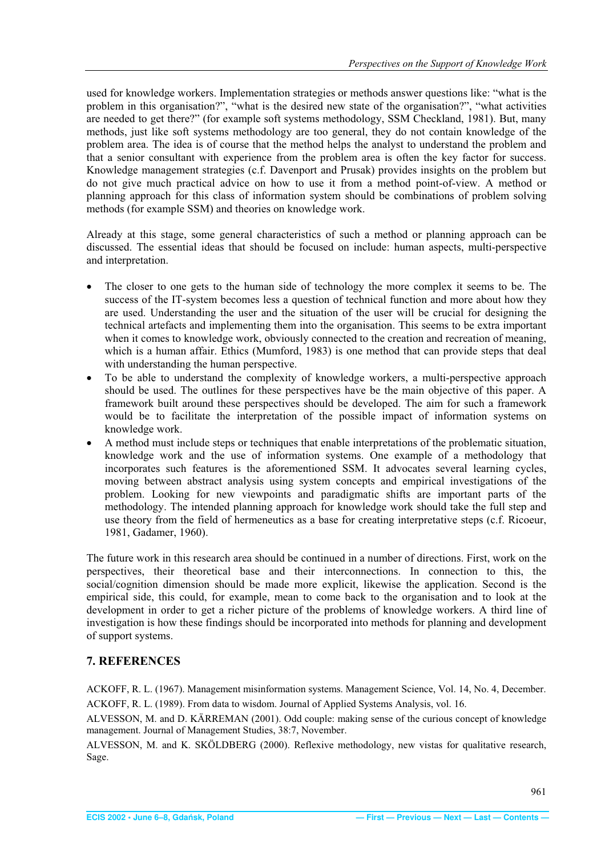<span id="page-11-0"></span>used for knowledge workers. Implementation strategies or methods answer questions like: "what is the problem in this organisation?", "what is the desired new state of the organisation?", "what activities are needed to get there?" (for example soft systems methodology, SSM Checkland, 1981). But, many methods, just like soft systems methodology are too general, they do not contain knowledge of the problem area. The idea is of course that the method helps the analyst to understand the problem and that a senior consultant with experience from the problem area is often the key factor for success. Knowledge management strategies (c.f. Davenport and Prusak) provides insights on the problem but do not give much practical advice on how to use it from a method point-of-view. A method or planning approach for this class of information system should be combinations of problem solving methods (for example SSM) and theories on knowledge work.

Already at this stage, some general characteristics of such a method or planning approach can be discussed. The essential ideas that should be focused on include: human aspects, multi-perspective and interpretation.

- The closer to one gets to the human side of technology the more complex it seems to be. The success of the IT-system becomes less a question of technical function and more about how they are used. Understanding the user and the situation of the user will be crucial for designing the technical artefacts and implementing them into the organisation. This seems to be extra important when it comes to knowledge work, obviously connected to the creation and recreation of meaning, which is a human affair. Ethics (Mumford, 1983) is one method that can provide steps that deal with understanding the human perspective.
- To be able to understand the complexity of knowledge workers, a multi-perspective approach should be used. The outlines for these perspectives have be the main objective of this paper. A framework built around these perspectives should be developed. The aim for such a framework would be to facilitate the interpretation of the possible impact of information systems on knowledge work.
- x A method must include steps or techniques that enable interpretations of the problematic situation, knowledge work and the use of information systems. One example of a methodology that incorporates such features is the aforementioned SSM. It advocates several learning cycles, moving between abstract analysis using system concepts and empirical investigations of the problem. Looking for new viewpoints and paradigmatic shifts are important parts of the methodology. The intended planning approach for knowledge work should take the full step and use theory from the field of hermeneutics as a base for creating interpretative steps (c.f. Ricoeur, 1981, Gadamer, 1960).

The future work in this research area should be continued in a number of directions. First, work on the perspectives, their theoretical base and their interconnections. In connection to this, the social/cognition dimension should be made more explicit, likewise the application. Second is the empirical side, this could, for example, mean to come back to the organisation and to look at the development in order to get a richer picture of the problems of knowledge workers. A third line of investigation is how these findings should be incorporated into methods for planning and development of support systems.

# **7. REFERENCES**

ACKOFF, R. L. (1967). Management misinformation systems. Management Science, Vol. 14, No. 4, December. ACKOFF, R. L. (1989). From data to wisdom. Journal of Applied Systems Analysis, vol. 16.

ALVESSON, M. and D. KÄRREMAN (2001). Odd couple: making sense of the curious concept of knowledge management. Journal of Management Studies, 38:7, November.

ALVESSON, M. and K. SKÖLDBERG (2000). Reflexive methodology, new vistas for qualitative research, Sage.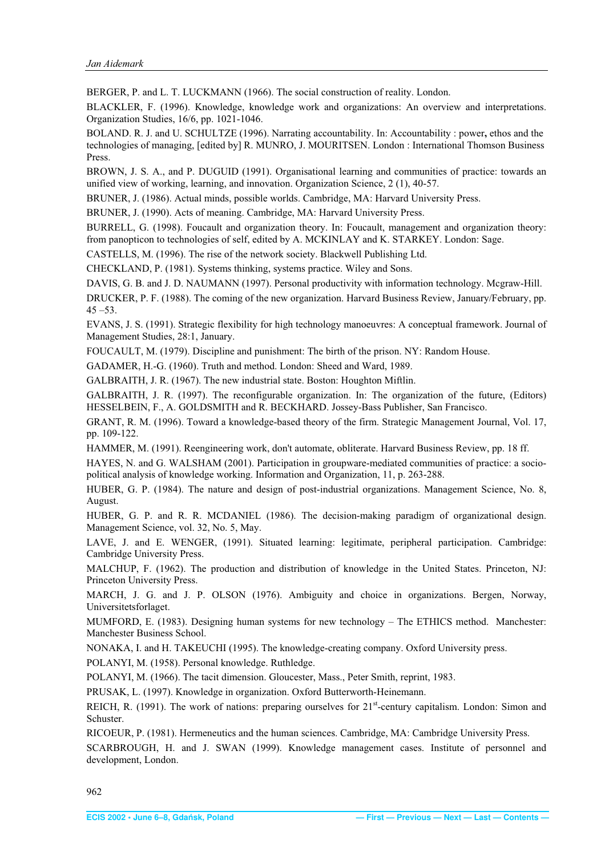<span id="page-12-0"></span>BERGER, P. and L. T. LUCKMANN (1966). The social construction of reality. London.

BLACKLER, F. (1996). Knowledge, knowledge work and organizations: An overview and interpretations. Organization Studies, 16/6, pp. 1021-1046.

BOLAND. R. J. and U. SCHULTZE (1996). Narrating accountability. In: Accountability : power**,** ethos and the technologies of managing, [edited by] R. MUNRO, J. MOURITSEN. London : International Thomson Business Press.

BROWN, J. S. A., and P. DUGUID (1991). Organisational learning and communities of practice: towards an unified view of working, learning, and innovation. Organization Science, 2 (1), 40-57.

BRUNER, J. (1986). Actual minds, possible worlds. Cambridge, MA: Harvard University Press.

BRUNER, J. (1990). Acts of meaning. Cambridge, MA: Harvard University Press.

BURRELL, G. (1998). Foucault and organization theory. In: Foucault, management and organization theory: from panopticon to technologies of self, edited by A. MCKINLAY and K. STARKEY. London: Sage.

CASTELLS, M. (1996). The rise of the network society. Blackwell Publishing Ltd.

CHECKLAND, P. (1981). Systems thinking, systems practice. Wiley and Sons.

DAVIS, G. B. and J. D. NAUMANN (1997). Personal productivity with information technology. Mcgraw-Hill.

DRUCKER, P. F. (1988). The coming of the new organization. Harvard Business Review, January/February, pp. 45 –53.

EVANS, J. S. (1991). Strategic flexibility for high technology manoeuvres: A conceptual framework. Journal of Management Studies, 28:1, January.

FOUCAULT, M. (1979). Discipline and punishment: The birth of the prison. NY: Random House.

GADAMER, H.-G. (1960). Truth and method. London: Sheed and Ward, 1989.

GALBRAITH, J. R. (1967). The new industrial state. Boston: Houghton Miftlin.

GALBRAITH, J. R. (1997). The reconfigurable organization. In: The organization of the future, (Editors) HESSELBEIN, F., A. GOLDSMITH and R. BECKHARD. Jossey-Bass Publisher, San Francisco.

GRANT, R. M. (1996). Toward a knowledge-based theory of the firm. Strategic Management Journal, Vol. 17, pp. 109-122.

HAMMER, M. (1991). Reengineering work, don't automate, obliterate. Harvard Business Review, pp. 18 ff.

HAYES, N. and G. WALSHAM (2001). Participation in groupware-mediated communities of practice: a sociopolitical analysis of knowledge working. Information and Organization, 11, p. 263-288.

HUBER, G. P. (1984). The nature and design of post-industrial organizations. Management Science, No. 8, August.

HUBER, G. P. and R. R. MCDANIEL (1986). The decision-making paradigm of organizational design. Management Science, vol. 32, No. 5, May.

LAVE, J. and E. WENGER, (1991). Situated learning: legitimate, peripheral participation. Cambridge: Cambridge University Press.

MALCHUP, F. (1962). The production and distribution of knowledge in the United States. Princeton, NJ: Princeton University Press.

MARCH, J. G. and J. P. OLSON (1976). Ambiguity and choice in organizations. Bergen, Norway, Universitetsforlaget.

MUMFORD, E. (1983). Designing human systems for new technology – The ETHICS method. Manchester: Manchester Business School.

NONAKA, I. and H. TAKEUCHI (1995). The knowledge-creating company. Oxford University press.

POLANYI, M. (1958). Personal knowledge. Ruthledge.

POLANYI, M. (1966). The tacit dimension. Gloucester, Mass., Peter Smith, reprint, 1983.

PRUSAK, L. (1997). Knowledge in organization. Oxford Butterworth-Heinemann.

REICH, R. (1991). The work of nations: preparing ourselves for  $21<sup>st</sup>$ -century capitalism. London: Simon and Schuster.

RICOEUR, P. (1981). Hermeneutics and the human sciences. Cambridge, MA: Cambridge University Press.

SCARBROUGH, H. and J. SWAN (1999). Knowledge management cases. Institute of personnel and development, London.

962